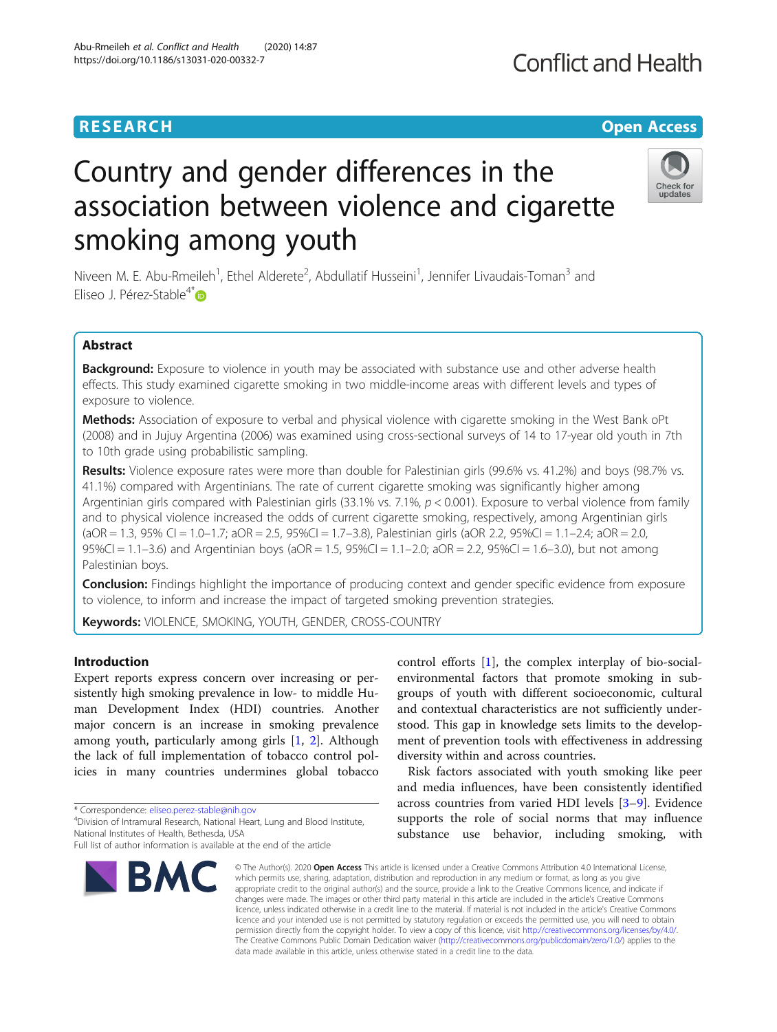# Country and gender differences in the association between violence and cigarette smoking among youth

Niveen M. E. Abu-Rmeileh<sup>1</sup>, Ethel Alderete<sup>2</sup>, Abdullatif Husseini<sup>1</sup>, Jennifer Livaudais-Toman<sup>3</sup> and Eliseo J. Pérez-Stable<sup>4[\\*](http://orcid.org/0000-0002-1577-2738)</sup>

### Abstract

Background: Exposure to violence in youth may be associated with substance use and other adverse health effects. This study examined cigarette smoking in two middle-income areas with different levels and types of exposure to violence.

Methods: Association of exposure to verbal and physical violence with cigarette smoking in the West Bank oPt (2008) and in Jujuy Argentina (2006) was examined using cross-sectional surveys of 14 to 17-year old youth in 7th to 10th grade using probabilistic sampling.

Results: Violence exposure rates were more than double for Palestinian girls (99.6% vs. 41.2%) and boys (98.7% vs. 41.1%) compared with Argentinians. The rate of current cigarette smoking was significantly higher among Argentinian girls compared with Palestinian girls (33.1% vs. 7.1%,  $p < 0.001$ ). Exposure to verbal violence from family and to physical violence increased the odds of current cigarette smoking, respectively, among Argentinian girls (aOR = 1.3, 95% CI = 1.0–1.7; aOR = 2.5, 95%CI = 1.7–3.8), Palestinian girls (aOR 2.2, 95%CI = 1.1–2.4; aOR = 2.0, 95%CI = 1.1–3.6) and Argentinian boys (aOR = 1.5, 95%CI = 1.1–2.0; aOR = 2.2, 95%CI = 1.6–3.0), but not among Palestinian boys.

**Conclusion:** Findings highlight the importance of producing context and gender specific evidence from exposure to violence, to inform and increase the impact of targeted smoking prevention strategies.

Keywords: VIOLENCE, SMOKING, YOUTH, GENDER, CROSS-COUNTRY

#### Introduction

Expert reports express concern over increasing or persistently high smoking prevalence in low- to middle Human Development Index (HDI) countries. Another major concern is an increase in smoking prevalence among youth, particularly among girls [\[1](#page-8-0), [2](#page-8-0)]. Although the lack of full implementation of tobacco control policies in many countries undermines global tobacco

\* Correspondence: [eliseo.perez-stable@nih.gov](mailto:eliseo.perez-stable@nih.gov) <sup>4</sup>

<sup>4</sup>Division of Intramural Research, National Heart, Lung and Blood Institute, National Institutes of Health, Bethesda, USA



control efforts [\[1](#page-8-0)], the complex interplay of bio-socialenvironmental factors that promote smoking in subgroups of youth with different socioeconomic, cultural and contextual characteristics are not sufficiently understood. This gap in knowledge sets limits to the development of prevention tools with effectiveness in addressing diversity within and across countries.

Risk factors associated with youth smoking like peer and media influences, have been consistently identified across countries from varied HDI levels [\[3](#page-8-0)–[9](#page-8-0)]. Evidence supports the role of social norms that may influence substance use behavior, including smoking, with

© The Author(s), 2020 **Open Access** This article is licensed under a Creative Commons Attribution 4.0 International License, which permits use, sharing, adaptation, distribution and reproduction in any medium or format, as long as you give appropriate credit to the original author(s) and the source, provide a link to the Creative Commons licence, and indicate if changes were made. The images or other third party material in this article are included in the article's Creative Commons licence, unless indicated otherwise in a credit line to the material. If material is not included in the article's Creative Commons licence and your intended use is not permitted by statutory regulation or exceeds the permitted use, you will need to obtain permission directly from the copyright holder. To view a copy of this licence, visit [http://creativecommons.org/licenses/by/4.0/.](http://creativecommons.org/licenses/by/4.0/) The Creative Commons Public Domain Dedication waiver [\(http://creativecommons.org/publicdomain/zero/1.0/](http://creativecommons.org/publicdomain/zero/1.0/)) applies to the data made available in this article, unless otherwise stated in a credit line to the data.

**RESEARCH CHINESE ARCH CHINESE ARCHITECT ARCHITECT ARCHITECT ARCHITECT ARCHITECT ARCHITECT ARCHITECT ARCHITECT ARCHITECT ARCHITECT ARCHITECT ARCHITECT ARCHITECT ARCHITECT ARCHITECT ARCHITECT ARCHITECT ARCHITECT ARCHITE** 



Full list of author information is available at the end of the article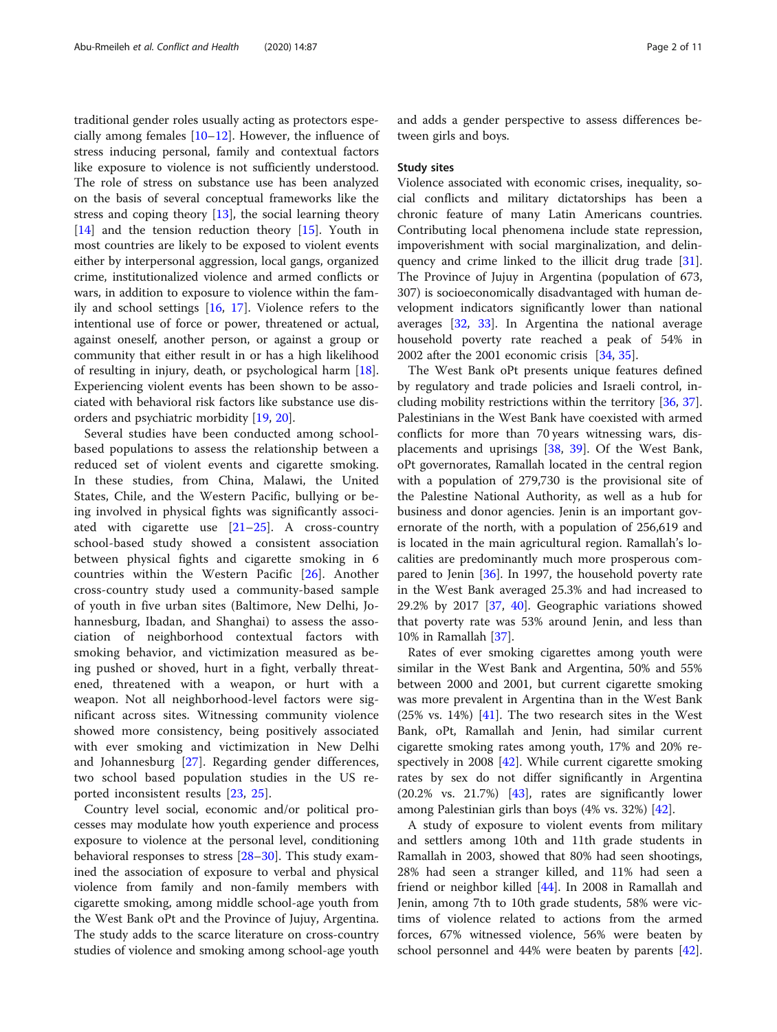traditional gender roles usually acting as protectors especially among females [\[10](#page-8-0)–[12\]](#page-8-0). However, the influence of stress inducing personal, family and contextual factors like exposure to violence is not sufficiently understood. The role of stress on substance use has been analyzed on the basis of several conceptual frameworks like the stress and coping theory [[13\]](#page-8-0), the social learning theory [[14\]](#page-8-0) and the tension reduction theory [[15](#page-8-0)]. Youth in most countries are likely to be exposed to violent events either by interpersonal aggression, local gangs, organized crime, institutionalized violence and armed conflicts or wars, in addition to exposure to violence within the family and school settings [\[16](#page-8-0), [17\]](#page-8-0). Violence refers to the intentional use of force or power, threatened or actual, against oneself, another person, or against a group or community that either result in or has a high likelihood of resulting in injury, death, or psychological harm [\[18](#page-8-0)]. Experiencing violent events has been shown to be associated with behavioral risk factors like substance use disorders and psychiatric morbidity [\[19](#page-8-0), [20](#page-8-0)].

Several studies have been conducted among schoolbased populations to assess the relationship between a reduced set of violent events and cigarette smoking. In these studies, from China, Malawi, the United States, Chile, and the Western Pacific, bullying or being involved in physical fights was significantly associated with cigarette use  $[21-25]$  $[21-25]$  $[21-25]$  $[21-25]$ . A cross-country school-based study showed a consistent association between physical fights and cigarette smoking in 6 countries within the Western Pacific [[26\]](#page-9-0). Another cross-country study used a community-based sample of youth in five urban sites (Baltimore, New Delhi, Johannesburg, Ibadan, and Shanghai) to assess the association of neighborhood contextual factors with smoking behavior, and victimization measured as being pushed or shoved, hurt in a fight, verbally threatened, threatened with a weapon, or hurt with a weapon. Not all neighborhood-level factors were significant across sites. Witnessing community violence showed more consistency, being positively associated with ever smoking and victimization in New Delhi and Johannesburg [\[27](#page-9-0)]. Regarding gender differences, two school based population studies in the US reported inconsistent results [[23,](#page-9-0) [25\]](#page-9-0).

Country level social, economic and/or political processes may modulate how youth experience and process exposure to violence at the personal level, conditioning behavioral responses to stress  $[28-30]$  $[28-30]$  $[28-30]$  $[28-30]$  $[28-30]$ . This study examined the association of exposure to verbal and physical violence from family and non-family members with cigarette smoking, among middle school-age youth from the West Bank oPt and the Province of Jujuy, Argentina. The study adds to the scarce literature on cross-country studies of violence and smoking among school-age youth

and adds a gender perspective to assess differences between girls and boys.

#### Study sites

Violence associated with economic crises, inequality, social conflicts and military dictatorships has been a chronic feature of many Latin Americans countries. Contributing local phenomena include state repression, impoverishment with social marginalization, and delinquency and crime linked to the illicit drug trade [\[31](#page-9-0)]. The Province of Jujuy in Argentina (population of 673, 307) is socioeconomically disadvantaged with human development indicators significantly lower than national averages [\[32](#page-9-0), [33](#page-9-0)]. In Argentina the national average household poverty rate reached a peak of 54% in 2002 after the 2001 economic crisis [\[34](#page-9-0), [35](#page-9-0)].

The West Bank oPt presents unique features defined by regulatory and trade policies and Israeli control, including mobility restrictions within the territory [\[36](#page-9-0), [37](#page-9-0)]. Palestinians in the West Bank have coexisted with armed conflicts for more than 70 years witnessing wars, displacements and uprisings [\[38](#page-9-0), [39\]](#page-9-0). Of the West Bank, oPt governorates, Ramallah located in the central region with a population of 279,730 is the provisional site of the Palestine National Authority, as well as a hub for business and donor agencies. Jenin is an important governorate of the north, with a population of 256,619 and is located in the main agricultural region. Ramallah's localities are predominantly much more prosperous compared to Jenin [[36](#page-9-0)]. In 1997, the household poverty rate in the West Bank averaged 25.3% and had increased to 29.2% by 2017 [\[37,](#page-9-0) [40\]](#page-9-0). Geographic variations showed that poverty rate was 53% around Jenin, and less than 10% in Ramallah [\[37](#page-9-0)].

Rates of ever smoking cigarettes among youth were similar in the West Bank and Argentina, 50% and 55% between 2000 and 2001, but current cigarette smoking was more prevalent in Argentina than in the West Bank (25% vs. 14%) [\[41\]](#page-9-0). The two research sites in the West Bank, oPt, Ramallah and Jenin, had similar current cigarette smoking rates among youth, 17% and 20% respectively in 2008 [\[42](#page-9-0)]. While current cigarette smoking rates by sex do not differ significantly in Argentina (20.2% vs. 21.7%) [[43\]](#page-9-0), rates are significantly lower among Palestinian girls than boys (4% vs. 32%) [[42](#page-9-0)].

A study of exposure to violent events from military and settlers among 10th and 11th grade students in Ramallah in 2003, showed that 80% had seen shootings, 28% had seen a stranger killed, and 11% had seen a friend or neighbor killed [[44\]](#page-9-0). In 2008 in Ramallah and Jenin, among 7th to 10th grade students, 58% were victims of violence related to actions from the armed forces, 67% witnessed violence, 56% were beaten by school personnel and 44% were beaten by parents [\[42](#page-9-0)].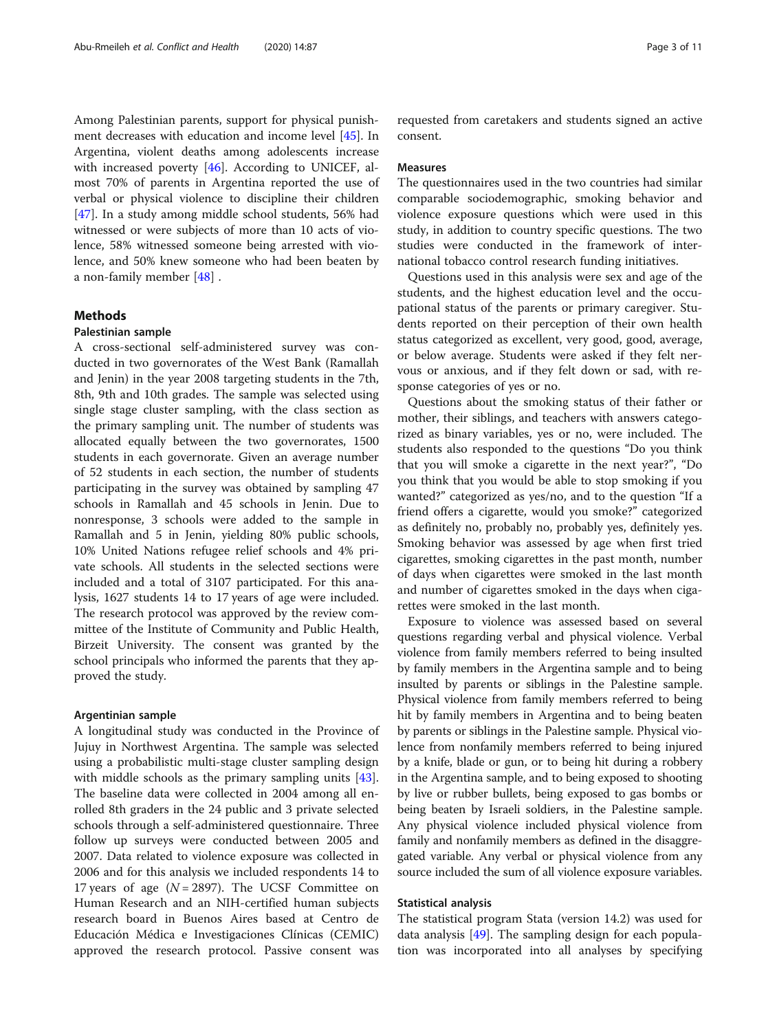Among Palestinian parents, support for physical punishment decreases with education and income level [[45](#page-9-0)]. In Argentina, violent deaths among adolescents increase with increased poverty [\[46](#page-9-0)]. According to UNICEF, almost 70% of parents in Argentina reported the use of verbal or physical violence to discipline their children [[47\]](#page-9-0). In a study among middle school students, 56% had witnessed or were subjects of more than 10 acts of violence, 58% witnessed someone being arrested with violence, and 50% knew someone who had been beaten by a non-family member [[48](#page-9-0)] .

#### Methods

#### Palestinian sample

A cross-sectional self-administered survey was conducted in two governorates of the West Bank (Ramallah and Jenin) in the year 2008 targeting students in the 7th, 8th, 9th and 10th grades. The sample was selected using single stage cluster sampling, with the class section as the primary sampling unit. The number of students was allocated equally between the two governorates, 1500 students in each governorate. Given an average number of 52 students in each section, the number of students participating in the survey was obtained by sampling 47 schools in Ramallah and 45 schools in Jenin. Due to nonresponse, 3 schools were added to the sample in Ramallah and 5 in Jenin, yielding 80% public schools, 10% United Nations refugee relief schools and 4% private schools. All students in the selected sections were included and a total of 3107 participated. For this analysis, 1627 students 14 to 17 years of age were included. The research protocol was approved by the review committee of the Institute of Community and Public Health, Birzeit University. The consent was granted by the school principals who informed the parents that they approved the study.

#### Argentinian sample

A longitudinal study was conducted in the Province of Jujuy in Northwest Argentina. The sample was selected using a probabilistic multi-stage cluster sampling design with middle schools as the primary sampling units [\[43](#page-9-0)]. The baseline data were collected in 2004 among all enrolled 8th graders in the 24 public and 3 private selected schools through a self-administered questionnaire. Three follow up surveys were conducted between 2005 and 2007. Data related to violence exposure was collected in 2006 and for this analysis we included respondents 14 to 17 years of age  $(N = 2897)$ . The UCSF Committee on Human Research and an NIH-certified human subjects research board in Buenos Aires based at Centro de Educación Médica e Investigaciones Clínicas (CEMIC) approved the research protocol. Passive consent was

requested from caretakers and students signed an active consent.

#### Measures

The questionnaires used in the two countries had similar comparable sociodemographic, smoking behavior and violence exposure questions which were used in this study, in addition to country specific questions. The two studies were conducted in the framework of international tobacco control research funding initiatives.

Questions used in this analysis were sex and age of the students, and the highest education level and the occupational status of the parents or primary caregiver. Students reported on their perception of their own health status categorized as excellent, very good, good, average, or below average. Students were asked if they felt nervous or anxious, and if they felt down or sad, with response categories of yes or no.

Questions about the smoking status of their father or mother, their siblings, and teachers with answers categorized as binary variables, yes or no, were included. The students also responded to the questions "Do you think that you will smoke a cigarette in the next year?", "Do you think that you would be able to stop smoking if you wanted?" categorized as yes/no, and to the question "If a friend offers a cigarette, would you smoke?" categorized as definitely no, probably no, probably yes, definitely yes. Smoking behavior was assessed by age when first tried cigarettes, smoking cigarettes in the past month, number of days when cigarettes were smoked in the last month and number of cigarettes smoked in the days when cigarettes were smoked in the last month.

Exposure to violence was assessed based on several questions regarding verbal and physical violence. Verbal violence from family members referred to being insulted by family members in the Argentina sample and to being insulted by parents or siblings in the Palestine sample. Physical violence from family members referred to being hit by family members in Argentina and to being beaten by parents or siblings in the Palestine sample. Physical violence from nonfamily members referred to being injured by a knife, blade or gun, or to being hit during a robbery in the Argentina sample, and to being exposed to shooting by live or rubber bullets, being exposed to gas bombs or being beaten by Israeli soldiers, in the Palestine sample. Any physical violence included physical violence from family and nonfamily members as defined in the disaggregated variable. Any verbal or physical violence from any source included the sum of all violence exposure variables.

#### Statistical analysis

The statistical program Stata (version 14.2) was used for data analysis [[49\]](#page-9-0). The sampling design for each population was incorporated into all analyses by specifying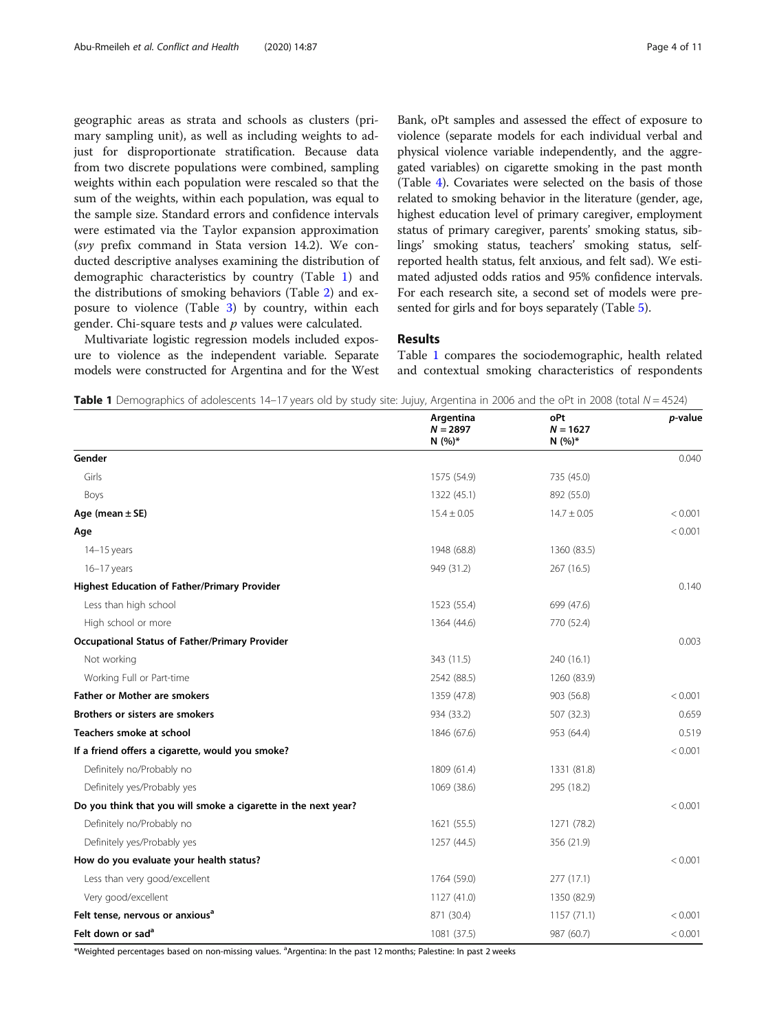geographic areas as strata and schools as clusters (primary sampling unit), as well as including weights to adjust for disproportionate stratification. Because data from two discrete populations were combined, sampling weights within each population were rescaled so that the sum of the weights, within each population, was equal to the sample size. Standard errors and confidence intervals were estimated via the Taylor expansion approximation (svy prefix command in Stata version 14.2). We conducted descriptive analyses examining the distribution of demographic characteristics by country (Table 1) and the distributions of smoking behaviors (Table [2](#page-4-0)) and exposure to violence (Table [3](#page-4-0)) by country, within each gender. Chi-square tests and  $p$  values were calculated.

Multivariate logistic regression models included exposure to violence as the independent variable. Separate models were constructed for Argentina and for the West

Bank, oPt samples and assessed the effect of exposure to violence (separate models for each individual verbal and physical violence variable independently, and the aggregated variables) on cigarette smoking in the past month (Table [4](#page-5-0)). Covariates were selected on the basis of those related to smoking behavior in the literature (gender, age, highest education level of primary caregiver, employment status of primary caregiver, parents' smoking status, siblings' smoking status, teachers' smoking status, selfreported health status, felt anxious, and felt sad). We estimated adjusted odds ratios and 95% confidence intervals. For each research site, a second set of models were pre-sented for girls and for boys separately (Table [5](#page-5-0)).

#### Results

Table 1 compares the sociodemographic, health related and contextual smoking characteristics of respondents

|                                                     | Argentina<br>$N = 2897$<br>$N(%)*$ | <b>oPt</b><br>$N = 1627$<br>$N(%)*$ | p-value |
|-----------------------------------------------------|------------------------------------|-------------------------------------|---------|
| Gender                                              |                                    |                                     | 0.040   |
| Girls                                               | 1575 (54.9)                        | 735 (45.0)                          |         |
| Boys                                                | 1322 (45.1)                        | 892 (55.0)                          |         |
| Age (mean $\pm$ SE)                                 | $15.4 \pm 0.05$                    | $14.7 \pm 0.05$                     | < 0.001 |
| Age                                                 |                                    |                                     | < 0.001 |
| $14-15$ years                                       | 1948 (68.8)                        | 1360 (83.5)                         |         |
| $16 - 17$ years                                     | 949 (31.2)                         | 267 (16.5)                          |         |
| <b>Highest Education of Father/Primary Provider</b> |                                    |                                     | 0.140   |
| Less than high school                               | 1523 (55.4)                        | 699 (47.6)                          |         |
| High school or more                                 | 1364 (44.6)                        | 770 (52.4)                          |         |
| Occupational Status of Father/Primary Provider      |                                    |                                     | 0.003   |
| Not working                                         | 343 (11.5)                         | 240 (16.1)                          |         |
| Working Full or Part-time                           | 2542 (88.5)                        | 1260 (83.9)                         |         |
| <b>Father or Mother are smokers</b>                 | 1359 (47.8)                        | 903 (56.8)                          | < 0.001 |
| Brothers or sisters are smokers                     | 934 (33.2)                         | 507 (32.3)                          | 0.659   |
| Teachers smoke at school                            | 1846 (67.6)                        | 953 (64.4)                          | 0.519   |
| If a friend offers a cigarette, would you smoke?    |                                    |                                     | < 0.001 |
| Definitely no/Probably no                           | 1809 (61.4)                        | 1331 (81.8)                         |         |
| Definitely yes/Probably yes                         | 1069 (38.6)                        | 295 (18.2)                          |         |

Do you think that you will smoke a cigarette in the next year? Depression of the next year?

How do you evaluate your health status? All the status of the status of the status of the status of the status of the status of the status of the status of the status of the status of the status of the status of the status

**Felt tense, nervous or anxious<sup>a</sup>**  $871 (30.4)$   $1157 (71.1)$   $< 0.001$ **Felt down or sad<sup>a</sup> 600 and 1081 (37.5)** 987 (60.7) 987 (60.7) 987 (60.7) 987 (60.7) 987 (60.7) 987 (60.7) 987 (60.7) 987 (60.7) 987 (60.7) 987 (60.7) 987 (60.7) 987 (60.7) 987 (60.7) 987 (60.7) 987 (60.7) 987 (60.7) 987

Definitely no/Probably no 1621 (55.5) 1271 (78.2) Definitely yes/Probably yes 1257 (44.5) 356 (21.9)

Less than very good/excellent 1764 (59.0) 277 (17.1) Very good/excellent 1127 (41.0) 1350 (82.9)

Table 1 Demographics of adolescents 14–17 years old by study site: Jujuy, Argentina in 2006 and the oPt in 2008 (total N = 4524)

\*Weighted percentages based on non-missing values. <sup>a</sup>Argentina: In the past 12 months; Palestine: In past 2 weeks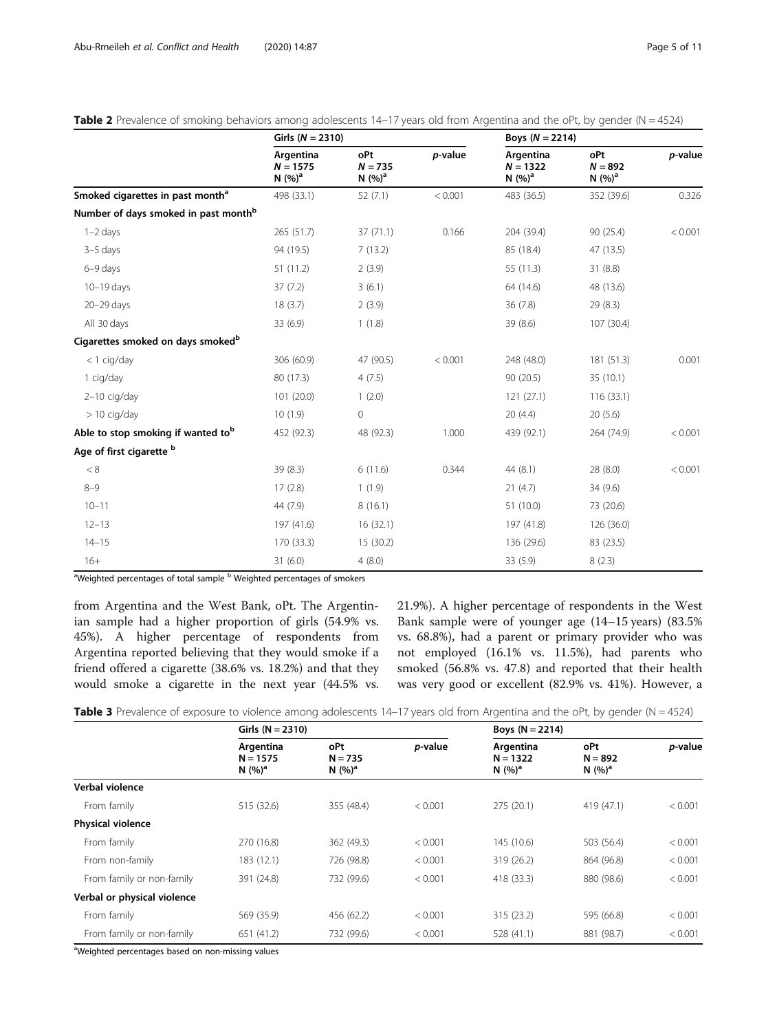| Girls $(N = 2310)$                           |                                                             |         | Boys $(N = 2214)$                            |                                       |         |
|----------------------------------------------|-------------------------------------------------------------|---------|----------------------------------------------|---------------------------------------|---------|
| Argentina<br>$N = 1575$<br>N(%) <sup>a</sup> | oPt<br>$N = 735$<br>N(%) <sup>a</sup>                       | p-value | Argentina<br>$N = 1322$<br>N(%) <sup>a</sup> | oPt<br>$N = 892$<br>N(%) <sup>a</sup> | p-value |
| 498 (33.1)                                   | 52(7.1)                                                     | < 0.001 | 483 (36.5)                                   | 352 (39.6)                            | 0.326   |
|                                              |                                                             |         |                                              |                                       |         |
| 265(51.7)                                    | 37(71.1)                                                    | 0.166   | 204 (39.4)                                   | 90 (25.4)                             | < 0.001 |
| 94 (19.5)                                    | 7(13.2)                                                     |         | 85 (18.4)                                    | 47 (13.5)                             |         |
| 51 (11.2)                                    | 2(3.9)                                                      |         | 55 (11.3)                                    | 31(8.8)                               |         |
| 37(7.2)                                      | 3(6.1)                                                      |         | 64 (14.6)                                    | 48 (13.6)                             |         |
| 18(3.7)                                      | 2(3.9)                                                      |         | 36(7.8)                                      | 29(8.3)                               |         |
| 33 (6.9)                                     | 1(1.8)                                                      |         | 39 (8.6)                                     | 107 (30.4)                            |         |
|                                              |                                                             |         |                                              |                                       |         |
| 306 (60.9)                                   | 47 (90.5)                                                   | < 0.001 | 248 (48.0)                                   | 181 (51.3)                            | 0.001   |
| 80 (17.3)                                    | 4(7.5)                                                      |         | 90 (20.5)                                    | 35 (10.1)                             |         |
| 101 (20.0)                                   | 1(2.0)                                                      |         | 121(27.1)                                    | 116(33.1)                             |         |
| 10(1.9)                                      | 0                                                           |         | 20(4.4)                                      | 20(5.6)                               |         |
| 452 (92.3)                                   | 48 (92.3)                                                   | 1.000   | 439 (92.1)                                   | 264 (74.9)                            | < 0.001 |
|                                              |                                                             |         |                                              |                                       |         |
| 39(8.3)                                      | 6(11.6)                                                     | 0.344   | 44 (8.1)                                     | 28 (8.0)                              | < 0.001 |
| 17(2.8)                                      | 1(1.9)                                                      |         | 21(4.7)                                      | 34 (9.6)                              |         |
| 44 (7.9)                                     | 8(16.1)                                                     |         | 51 (10.0)                                    | 73 (20.6)                             |         |
| 197 (41.6)                                   | 16(32.1)                                                    |         | 197 (41.8)                                   | 126 (36.0)                            |         |
| 170 (33.3)                                   | 15 (30.2)                                                   |         | 136 (29.6)                                   | 83 (23.5)                             |         |
| 31(6.0)                                      | 4(8.0)                                                      |         | 33 (5.9)                                     | 8(2.3)                                |         |
|                                              | ومعاراته ومساكف المحاوية ومستحدث والمتحامل والمالح المالوري |         |                                              |                                       |         |

<span id="page-4-0"></span>Table 2 Prevalence of smoking behaviors among adolescents  $14-17$  years old from Argentina and the oPt, by gender (N = 4524)

<sup>a</sup>Weighted percentages of total sample <sup>b</sup> Weighted percentages of smokers

from Argentina and the West Bank, oPt. The Argentinian sample had a higher proportion of girls (54.9% vs. 45%). A higher percentage of respondents from Argentina reported believing that they would smoke if a friend offered a cigarette (38.6% vs. 18.2%) and that they would smoke a cigarette in the next year (44.5% vs.

21.9%). A higher percentage of respondents in the West Bank sample were of younger age (14–15 years) (83.5% vs. 68.8%), had a parent or primary provider who was not employed (16.1% vs. 11.5%), had parents who smoked (56.8% vs. 47.8) and reported that their health was very good or excellent (82.9% vs. 41%). However, a

Table 3 Prevalence of exposure to violence among adolescents  $14-17$  years old from Argentina and the oPt, by gender (N = 4524)

|                             | Girls $(N = 2310)$                           |                                       |                 | Boys $(N = 2214)$                            |                                       |         |
|-----------------------------|----------------------------------------------|---------------------------------------|-----------------|----------------------------------------------|---------------------------------------|---------|
|                             | Argentina<br>$N = 1575$<br>N(%) <sup>a</sup> | oPt<br>$N = 735$<br>N(%) <sup>a</sup> | <i>p</i> -value | Argentina<br>$N = 1322$<br>N(%) <sup>a</sup> | oPt<br>$N = 892$<br>N(%) <sup>a</sup> | p-value |
| <b>Verbal violence</b>      |                                              |                                       |                 |                                              |                                       |         |
| From family                 | 515 (32.6)                                   | 355 (48.4)                            | < 0.001         | 275 (20.1)                                   | 419 (47.1)                            | < 0.001 |
| Physical violence           |                                              |                                       |                 |                                              |                                       |         |
| From family                 | 270 (16.8)                                   | 362 (49.3)                            | < 0.001         | 145 (10.6)                                   | 503 (56.4)                            | < 0.001 |
| From non-family             | 183 (12.1)                                   | 726 (98.8)                            | < 0.001         | 319 (26.2)                                   | 864 (96.8)                            | < 0.001 |
| From family or non-family   | 391 (24.8)                                   | 732 (99.6)                            | < 0.001         | 418 (33.3)                                   | 880 (98.6)                            | < 0.001 |
| Verbal or physical violence |                                              |                                       |                 |                                              |                                       |         |
| From family                 | 569 (35.9)                                   | 456 (62.2)                            | < 0.001         | 315 (23.2)                                   | 595 (66.8)                            | < 0.001 |
| From family or non-family   | 651 (41.2)                                   | 732 (99.6)                            | < 0.001         | 528 (41.1)                                   | 881 (98.7)                            | < 0.001 |

<sup>a</sup>Weighted percentages based on non-missing values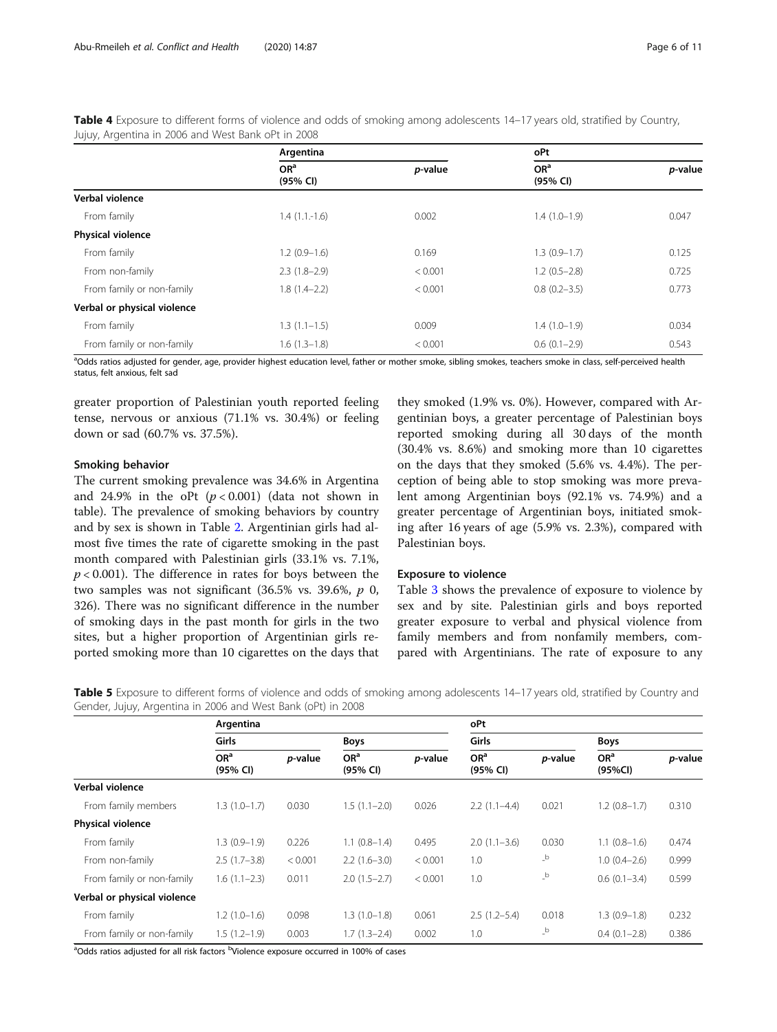<span id="page-5-0"></span>Table 4 Exposure to different forms of violence and odds of smoking among adolescents 14–17 years old, stratified by Country, Jujuy, Argentina in 2006 and West Bank oPt in 2008

|                             | Argentina                   |         | oPt                         |         |  |
|-----------------------------|-----------------------------|---------|-----------------------------|---------|--|
|                             | OR <sup>a</sup><br>(95% CI) | p-value | OR <sup>a</sup><br>(95% CI) | p-value |  |
| Verbal violence             |                             |         |                             |         |  |
| From family                 | $1.4(1.1.-1.6)$             | 0.002   | $1.4(1.0-1.9)$              | 0.047   |  |
| Physical violence           |                             |         |                             |         |  |
| From family                 | $1.2(0.9-1.6)$              | 0.169   | $1.3(0.9-1.7)$              | 0.125   |  |
| From non-family             | $2.3(1.8-2.9)$              | < 0.001 | $1.2(0.5-2.8)$              | 0.725   |  |
| From family or non-family   | $1.8(1.4-2.2)$              | < 0.001 | $0.8(0.2 - 3.5)$            | 0.773   |  |
| Verbal or physical violence |                             |         |                             |         |  |
| From family                 | $1.3(1.1-1.5)$              | 0.009   | $1.4(1.0-1.9)$              | 0.034   |  |
| From family or non-family   | $1.6(1.3-1.8)$              | < 0.001 | $0.6(0.1-2.9)$              | 0.543   |  |

a<br>Odds ratios adjusted for gender, age, provider highest education level, father or mother smoke, sibling smokes, teachers smoke in class, self-perceived health status, felt anxious, felt sad

greater proportion of Palestinian youth reported feeling tense, nervous or anxious (71.1% vs. 30.4%) or feeling down or sad (60.7% vs. 37.5%).

#### Smoking behavior

The current smoking prevalence was 34.6% in Argentina and 24.9% in the oPt  $(p < 0.001)$  (data not shown in table). The prevalence of smoking behaviors by country and by sex is shown in Table [2.](#page-4-0) Argentinian girls had almost five times the rate of cigarette smoking in the past month compared with Palestinian girls (33.1% vs. 7.1%,  $p < 0.001$ ). The difference in rates for boys between the two samples was not significant (36.5% vs. 39.6%, p 0, 326). There was no significant difference in the number of smoking days in the past month for girls in the two sites, but a higher proportion of Argentinian girls reported smoking more than 10 cigarettes on the days that

they smoked (1.9% vs. 0%). However, compared with Argentinian boys, a greater percentage of Palestinian boys reported smoking during all 30 days of the month (30.4% vs. 8.6%) and smoking more than 10 cigarettes on the days that they smoked (5.6% vs. 4.4%). The perception of being able to stop smoking was more prevalent among Argentinian boys (92.1% vs. 74.9%) and a greater percentage of Argentinian boys, initiated smoking after 16 years of age (5.9% vs. 2.3%), compared with Palestinian boys.

#### Exposure to violence

Table [3](#page-4-0) shows the prevalence of exposure to violence by sex and by site. Palestinian girls and boys reported greater exposure to verbal and physical violence from family members and from nonfamily members, compared with Argentinians. The rate of exposure to any

Table 5 Exposure to different forms of violence and odds of smoking among adolescents 14–17 years old, stratified by Country and Gender, Jujuy, Argentina in 2006 and West Bank (oPt) in 2008

|                             | Argentina                   |         |                             | oPt             |                             |                 |                            |         |
|-----------------------------|-----------------------------|---------|-----------------------------|-----------------|-----------------------------|-----------------|----------------------------|---------|
|                             | Girls                       |         | <b>Boys</b>                 |                 | Girls                       |                 | <b>Boys</b>                |         |
|                             | OR <sup>a</sup><br>(95% CI) | p-value | OR <sup>a</sup><br>(95% CI) | <i>p</i> -value | OR <sup>a</sup><br>(95% CI) | <i>p</i> -value | OR <sup>a</sup><br>(95%CI) | p-value |
| Verbal violence             |                             |         |                             |                 |                             |                 |                            |         |
| From family members         | $1.3(1.0-1.7)$              | 0.030   | $1.5(1.1-2.0)$              | 0.026           | $2.2(1.1-4.4)$              | 0.021           | $1.2(0.8-1.7)$             | 0.310   |
| Physical violence           |                             |         |                             |                 |                             |                 |                            |         |
| From family                 | $1.3(0.9-1.9)$              | 0.226   | $1.1(0.8-1.4)$              | 0.495           | $2.0(1.1-3.6)$              | 0.030           | $1.1(0.8-1.6)$             | 0.474   |
| From non-family             | $2.5(1.7-3.8)$              | < 0.001 | $2.2(1.6-3.0)$              | < 0.001         | 1.0                         | b               | $1.0(0.4-2.6)$             | 0.999   |
| From family or non-family   | $1.6(1.1-2.3)$              | 0.011   | $2.0(1.5-2.7)$              | < 0.001         | 1.0                         | b               | $0.6(0.1-3.4)$             | 0.599   |
| Verbal or physical violence |                             |         |                             |                 |                             |                 |                            |         |
| From family                 | $1.2(1.0-1.6)$              | 0.098   | $1.3(1.0-1.8)$              | 0.061           | $2.5(1.2-5.4)$              | 0.018           | $1.3(0.9-1.8)$             | 0.232   |
| From family or non-family   | $1.5(1.2-1.9)$              | 0.003   | $1.7(1.3-2.4)$              | 0.002           | 1.0                         | $_b$            | $0.4(0.1 - 2.8)$           | 0.386   |

<sup>a</sup>Odds ratios adjusted for all risk factors <sup>b</sup>Violence exposure occurred in 100% of cases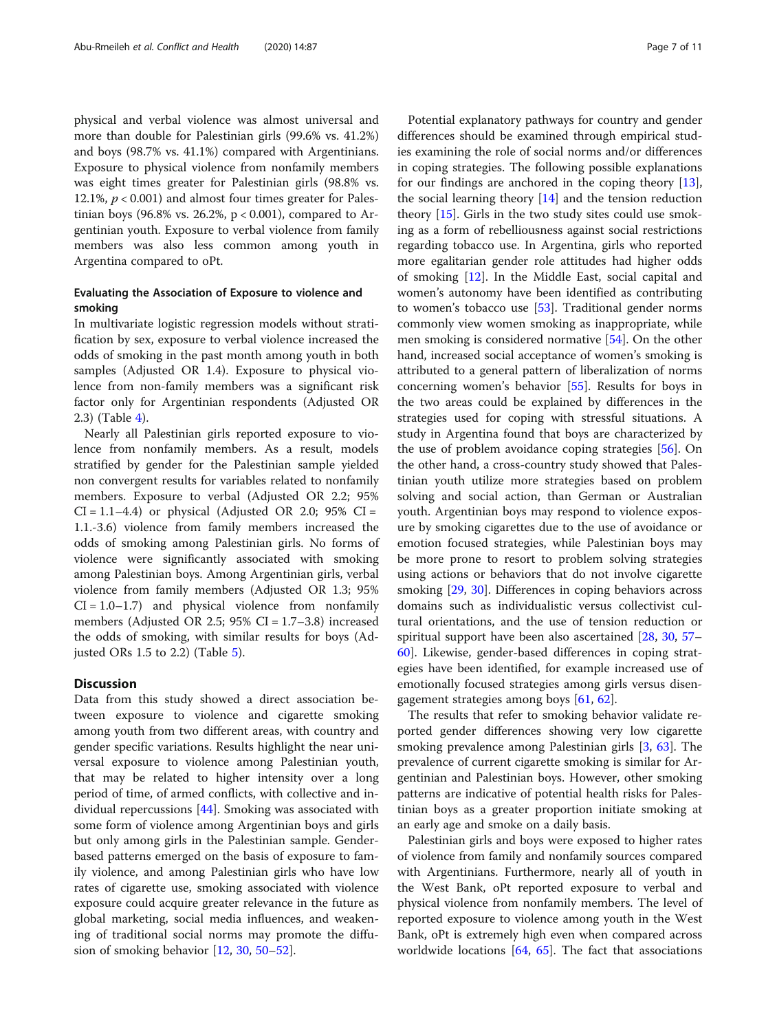physical and verbal violence was almost universal and more than double for Palestinian girls (99.6% vs. 41.2%) and boys (98.7% vs. 41.1%) compared with Argentinians. Exposure to physical violence from nonfamily members was eight times greater for Palestinian girls (98.8% vs. 12.1%,  $p < 0.001$ ) and almost four times greater for Palestinian boys (96.8% vs. 26.2%,  $p < 0.001$ ), compared to Argentinian youth. Exposure to verbal violence from family members was also less common among youth in Argentina compared to oPt.

#### Evaluating the Association of Exposure to violence and smoking

In multivariate logistic regression models without stratification by sex, exposure to verbal violence increased the odds of smoking in the past month among youth in both samples (Adjusted OR 1.4). Exposure to physical violence from non-family members was a significant risk factor only for Argentinian respondents (Adjusted OR 2.3) (Table [4\)](#page-5-0).

Nearly all Palestinian girls reported exposure to violence from nonfamily members. As a result, models stratified by gender for the Palestinian sample yielded non convergent results for variables related to nonfamily members. Exposure to verbal (Adjusted OR 2.2; 95%  $CI = 1.1 - 4.4$ ) or physical (Adjusted OR 2.0; 95%  $CI =$ 1.1.-3.6) violence from family members increased the odds of smoking among Palestinian girls. No forms of violence were significantly associated with smoking among Palestinian boys. Among Argentinian girls, verbal violence from family members (Adjusted OR 1.3; 95%  $CI = 1.0-1.7$  and physical violence from nonfamily members (Adjusted OR 2.5;  $95\%$  CI = 1.7–3.8) increased the odds of smoking, with similar results for boys (Adjusted ORs 1.5 to 2.2) (Table [5\)](#page-5-0).

#### **Discussion**

Data from this study showed a direct association between exposure to violence and cigarette smoking among youth from two different areas, with country and gender specific variations. Results highlight the near universal exposure to violence among Palestinian youth, that may be related to higher intensity over a long period of time, of armed conflicts, with collective and individual repercussions [[44](#page-9-0)]. Smoking was associated with some form of violence among Argentinian boys and girls but only among girls in the Palestinian sample. Genderbased patterns emerged on the basis of exposure to family violence, and among Palestinian girls who have low rates of cigarette use, smoking associated with violence exposure could acquire greater relevance in the future as global marketing, social media influences, and weakening of traditional social norms may promote the diffusion of smoking behavior [\[12](#page-8-0), [30,](#page-9-0) [50](#page-9-0)–[52\]](#page-9-0).

Potential explanatory pathways for country and gender differences should be examined through empirical studies examining the role of social norms and/or differences in coping strategies. The following possible explanations for our findings are anchored in the coping theory [\[13](#page-8-0)], the social learning theory  $[14]$  $[14]$  $[14]$  and the tension reduction theory [\[15](#page-8-0)]. Girls in the two study sites could use smoking as a form of rebelliousness against social restrictions regarding tobacco use. In Argentina, girls who reported more egalitarian gender role attitudes had higher odds of smoking [\[12\]](#page-8-0). In the Middle East, social capital and women's autonomy have been identified as contributing to women's tobacco use [\[53](#page-9-0)]. Traditional gender norms commonly view women smoking as inappropriate, while men smoking is considered normative [\[54\]](#page-9-0). On the other hand, increased social acceptance of women's smoking is attributed to a general pattern of liberalization of norms concerning women's behavior [[55\]](#page-9-0). Results for boys in the two areas could be explained by differences in the strategies used for coping with stressful situations. A study in Argentina found that boys are characterized by the use of problem avoidance coping strategies [[56\]](#page-9-0). On the other hand, a cross-country study showed that Palestinian youth utilize more strategies based on problem solving and social action, than German or Australian youth. Argentinian boys may respond to violence exposure by smoking cigarettes due to the use of avoidance or emotion focused strategies, while Palestinian boys may be more prone to resort to problem solving strategies using actions or behaviors that do not involve cigarette smoking [[29,](#page-9-0) [30](#page-9-0)]. Differences in coping behaviors across domains such as individualistic versus collectivist cultural orientations, and the use of tension reduction or spiritual support have been also ascertained [\[28](#page-9-0), [30](#page-9-0), [57](#page-9-0)– [60\]](#page-9-0). Likewise, gender-based differences in coping strategies have been identified, for example increased use of emotionally focused strategies among girls versus disengagement strategies among boys [\[61](#page-9-0), [62\]](#page-9-0).

The results that refer to smoking behavior validate reported gender differences showing very low cigarette smoking prevalence among Palestinian girls [[3,](#page-8-0) [63](#page-9-0)]. The prevalence of current cigarette smoking is similar for Argentinian and Palestinian boys. However, other smoking patterns are indicative of potential health risks for Palestinian boys as a greater proportion initiate smoking at an early age and smoke on a daily basis.

Palestinian girls and boys were exposed to higher rates of violence from family and nonfamily sources compared with Argentinians. Furthermore, nearly all of youth in the West Bank, oPt reported exposure to verbal and physical violence from nonfamily members. The level of reported exposure to violence among youth in the West Bank, oPt is extremely high even when compared across worldwide locations [\[64,](#page-9-0) [65](#page-10-0)]. The fact that associations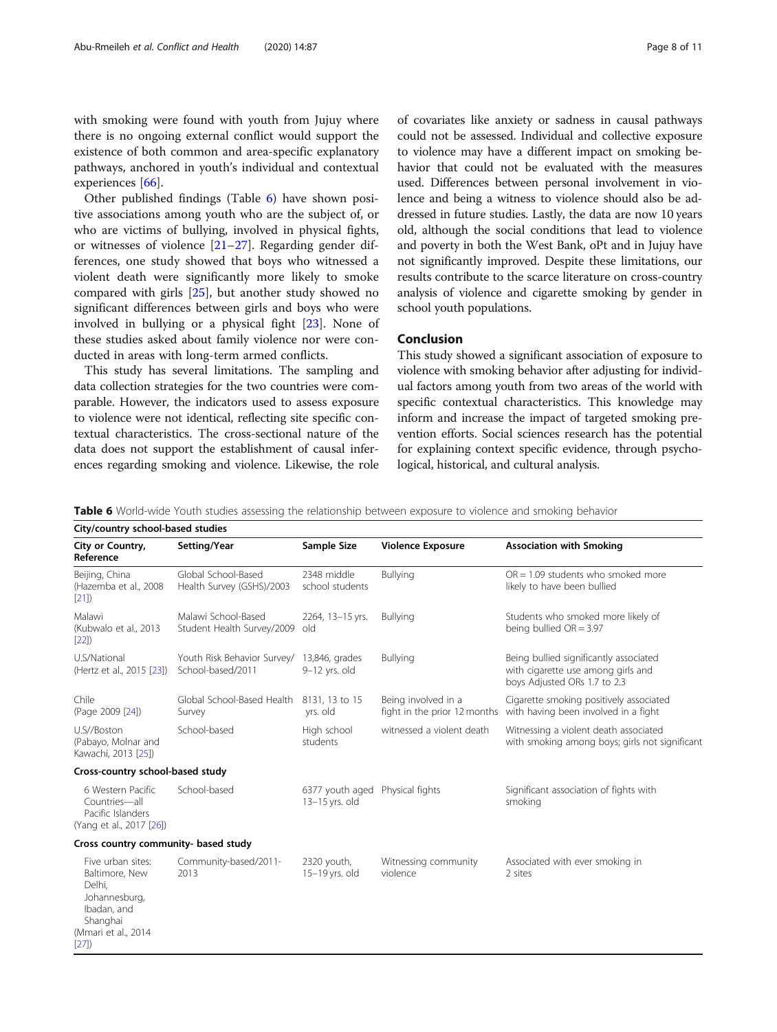with smoking were found with youth from Jujuy where there is no ongoing external conflict would support the existence of both common and area-specific explanatory pathways, anchored in youth's individual and contextual experiences [\[66](#page-10-0)].

Other published findings (Table 6) have shown positive associations among youth who are the subject of, or who are victims of bullying, involved in physical fights, or witnesses of violence [\[21](#page-8-0)–[27\]](#page-9-0). Regarding gender differences, one study showed that boys who witnessed a violent death were significantly more likely to smoke compared with girls [\[25](#page-9-0)], but another study showed no significant differences between girls and boys who were involved in bullying or a physical fight [[23\]](#page-9-0). None of these studies asked about family violence nor were conducted in areas with long-term armed conflicts.

This study has several limitations. The sampling and data collection strategies for the two countries were comparable. However, the indicators used to assess exposure to violence were not identical, reflecting site specific contextual characteristics. The cross-sectional nature of the data does not support the establishment of causal inferences regarding smoking and violence. Likewise, the role of covariates like anxiety or sadness in causal pathways could not be assessed. Individual and collective exposure to violence may have a different impact on smoking behavior that could not be evaluated with the measures used. Differences between personal involvement in violence and being a witness to violence should also be addressed in future studies. Lastly, the data are now 10 years old, although the social conditions that lead to violence and poverty in both the West Bank, oPt and in Jujuy have not significantly improved. Despite these limitations, our results contribute to the scarce literature on cross-country analysis of violence and cigarette smoking by gender in school youth populations.

#### Conclusion

This study showed a significant association of exposure to violence with smoking behavior after adjusting for individual factors among youth from two areas of the world with specific contextual characteristics. This knowledge may inform and increase the impact of targeted smoking prevention efforts. Social sciences research has the potential for explaining context specific evidence, through psychological, historical, and cultural analysis.

Table 6 World-wide Youth studies assessing the relationship between exposure to violence and smoking behavior City/country school-based studies

| City/country school-based studies                                                                                          |                                                   |                                   |                                  |                                                                                                              |  |  |  |
|----------------------------------------------------------------------------------------------------------------------------|---------------------------------------------------|-----------------------------------|----------------------------------|--------------------------------------------------------------------------------------------------------------|--|--|--|
| City or Country,<br>Reference                                                                                              | Setting/Year                                      | Sample Size                       | <b>Violence Exposure</b>         | <b>Association with Smoking</b>                                                                              |  |  |  |
| Beijing, China<br>(Hazemba et al., 2008<br>$[21]$                                                                          | Global School-Based<br>Health Survey (GSHS)/2003  | 2348 middle<br>school students    | Bullying                         | $OR = 1.09$ students who smoked more<br>likely to have been bullied                                          |  |  |  |
| Malawi<br>(Kubwalo et al., 2013<br>$[22]$                                                                                  | Malawi School-Based<br>Student Health Survey/2009 | 2264, 13-15 yrs.<br>old           | Bullying                         | Students who smoked more likely of<br>being bullied $OR = 3.97$                                              |  |  |  |
| U.S/National<br>(Hertz et al., 2015 [23])                                                                                  | Youth Risk Behavior Survey/<br>School-based/2011  | 13,846, grades<br>9-12 yrs. old   | Bullying                         | Being bullied significantly associated<br>with cigarette use among girls and<br>boys Adjusted ORs 1.7 to 2.3 |  |  |  |
| Chile<br>(Page 2009 [24])                                                                                                  | Global School-Based Health<br>Survey              | 8131, 13 to 15<br>yrs. old        | Being involved in a              | Cigarette smoking positively associated<br>fight in the prior 12 months with having been involved in a fight |  |  |  |
| U.S//Boston<br>(Pabayo, Molnar and<br>Kawachi, 2013 [25])                                                                  | School-based                                      | High school<br>students           | witnessed a violent death        | Witnessing a violent death associated<br>with smoking among boys; girls not significant                      |  |  |  |
| Cross-country school-based study                                                                                           |                                                   |                                   |                                  |                                                                                                              |  |  |  |
| 6 Western Pacific<br>Countries-all<br>Pacific Islanders<br>(Yang et al., 2017 [26])                                        | School-based                                      | 6377 youth aged<br>13-15 yrs. old | Physical fights                  | Significant association of fights with<br>smoking                                                            |  |  |  |
| Cross country community- based study                                                                                       |                                                   |                                   |                                  |                                                                                                              |  |  |  |
| Five urban sites:<br>Baltimore, New<br>Delhi,<br>Johannesburg,<br>Ibadan, and<br>Shanghai<br>(Mmari et al., 2014<br>$[27]$ | Community-based/2011-<br>2013                     | 2320 youth,<br>15-19 yrs. old     | Witnessing community<br>violence | Associated with ever smoking in<br>2 sites                                                                   |  |  |  |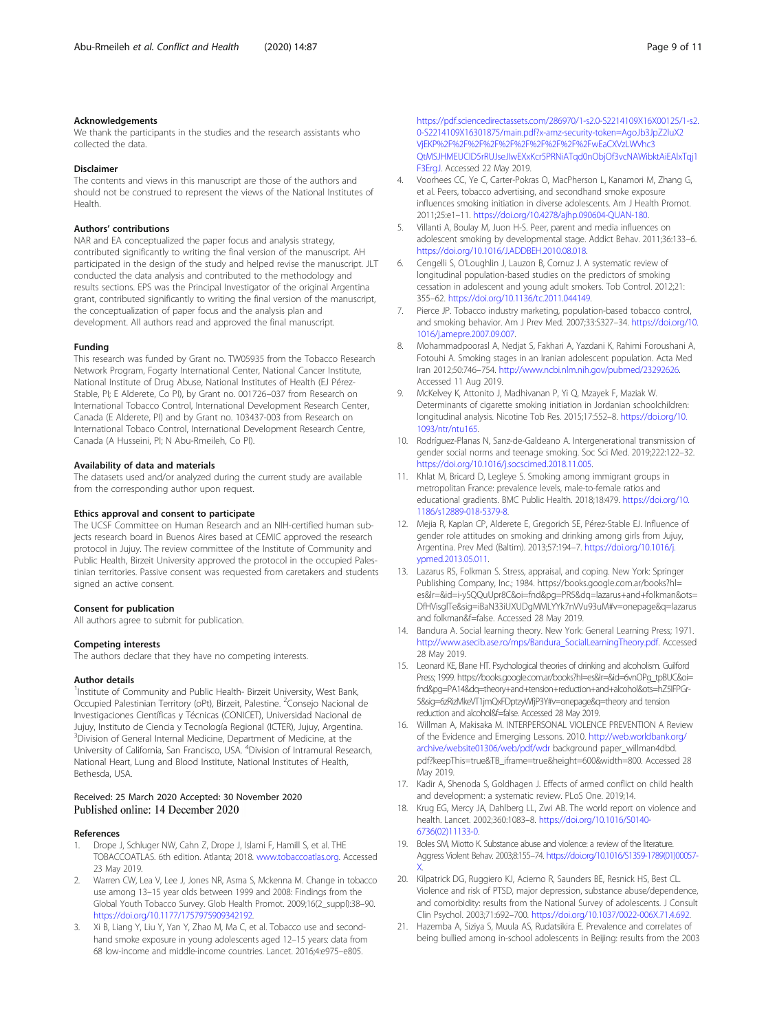#### <span id="page-8-0"></span>Acknowledgements

We thank the participants in the studies and the research assistants who collected the data.

#### Disclaimer

The contents and views in this manuscript are those of the authors and should not be construed to represent the views of the National Institutes of Health.

#### Authors' contributions

NAR and EA conceptualized the paper focus and analysis strategy, contributed significantly to writing the final version of the manuscript. AH participated in the design of the study and helped revise the manuscript. JLT conducted the data analysis and contributed to the methodology and results sections. EPS was the Principal Investigator of the original Argentina grant, contributed significantly to writing the final version of the manuscript, the conceptualization of paper focus and the analysis plan and development. All authors read and approved the final manuscript.

#### Funding

This research was funded by Grant no. TW05935 from the Tobacco Research Network Program, Fogarty International Center, National Cancer Institute, National Institute of Drug Abuse, National Institutes of Health (EJ Pérez-Stable, PI; E Alderete, Co PI), by Grant no. 001726–037 from Research on International Tobacco Control, International Development Research Center, Canada (E Alderete, PI) and by Grant no. 103437-003 from Research on International Tobaco Control, International Development Research Centre, Canada (A Husseini, PI; N Abu-Rmeileh, Co PI).

#### Availability of data and materials

The datasets used and/or analyzed during the current study are available from the corresponding author upon request.

#### Ethics approval and consent to participate

The UCSF Committee on Human Research and an NIH-certified human subjects research board in Buenos Aires based at CEMIC approved the research protocol in Jujuy. The review committee of the Institute of Community and Public Health, Birzeit University approved the protocol in the occupied Palestinian territories. Passive consent was requested from caretakers and students signed an active consent.

#### Consent for publication

All authors agree to submit for publication.

#### Competing interests

The authors declare that they have no competing interests.

#### Author details

<sup>1</sup>Institute of Community and Public Health- Birzeit University, West Bank, Occupied Palestinian Territory (oPt), Birzeit, Palestine. <sup>2</sup>Consejo Nacional de Investigaciones Científicas y Técnicas (CONICET), Universidad Nacional de Jujuy, Instituto de Ciencia y Tecnología Regional (ICTER), Jujuy, Argentina. <sup>3</sup> Division of General Internal Medicine, Department of Medicine, at the University of California, San Francisco, USA. <sup>4</sup>Division of Intramural Research, National Heart, Lung and Blood Institute, National Institutes of Health, Bethesda, USA.

## Received: 25 March 2020 Accepted: 30 November 2020

#### References

- Drope J, Schluger NW, Cahn Z, Drope J, Islami F, Hamill S, et al. THE TOBACCOATLAS. 6th edition. Atlanta; 2018. [www.tobaccoatlas.org.](http://www.tobaccoatlas.org) Accessed 23 May 2019.
- 2. Warren CW, Lea V, Lee J, Jones NR, Asma S, Mckenna M. Change in tobacco use among 13–15 year olds between 1999 and 2008: Findings from the Global Youth Tobacco Survey. Glob Health Promot. 2009;16(2\_suppl):38–90. <https://doi.org/10.1177/1757975909342192>.
- 3. Xi B, Liang Y, Liu Y, Yan Y, Zhao M, Ma C, et al. Tobacco use and secondhand smoke exposure in young adolescents aged 12–15 years: data from 68 low-income and middle-income countries. Lancet. 2016;4:e975–e805.

4. Voorhees CC, Ye C, Carter-Pokras O, MacPherson L, Kanamori M, Zhang G, et al. Peers, tobacco advertising, and secondhand smoke exposure influences smoking initiation in diverse adolescents. Am J Health Promot. 2011;25:e1–11. [https://doi.org/10.4278/ajhp.090604-QUAN-180.](https://doi.org/10.4278/ajhp.090604-QUAN-180)

[F3ErgJ](https://pdf.sciencedirectassets.com/286970/1-s2.0-S2214109X16X00125/1-s2.0-S2214109X16301875/main.pdf?x-amz-security-token=AgoJb3JpZ2luX2VjEKP%2F%2F%2F%2F%2F%2F%2F%2F%2F%2FwEaCXVzLWVhc3QtMSJHMEUCID5rRUJseJIwEXxKcr5PRNiATqd0nObjOf3vcNAWibktAiEAlxTqj1F3ErgJ). Accessed 22 May 2019.

- 5. Villanti A, Boulay M, Juon H-S. Peer, parent and media influences on adolescent smoking by developmental stage. Addict Behav. 2011;36:133–6. <https://doi.org/10.1016/J.ADDBEH.2010.08.018>.
- 6. Cengelli S, O'Loughlin J, Lauzon B, Cornuz J. A systematic review of longitudinal population-based studies on the predictors of smoking cessation in adolescent and young adult smokers. Tob Control. 2012;21: 355–62. [https://doi.org/10.1136/tc.2011.044149.](https://doi.org/10.1136/tc.2011.044149)
- 7. Pierce JP. Tobacco industry marketing, population-based tobacco control, and smoking behavior. Am J Prev Med. 2007;33:S327–34. [https://doi.org/10.](https://doi.org/10.1016/j.amepre.2007.09.007) [1016/j.amepre.2007.09.007.](https://doi.org/10.1016/j.amepre.2007.09.007)
- 8. Mohammadpoorasl A, Nedjat S, Fakhari A, Yazdani K, Rahimi Foroushani A, Fotouhi A. Smoking stages in an Iranian adolescent population. Acta Med Iran 2012;50:746–754. [http://www.ncbi.nlm.nih.gov/pubmed/23292626.](http://www.ncbi.nlm.nih.gov/pubmed/23292626) Accessed 11 Aug 2019.
- 9. McKelvey K, Attonito J, Madhivanan P, Yi Q, Mzayek F, Maziak W. Determinants of cigarette smoking initiation in Jordanian schoolchildren: longitudinal analysis. Nicotine Tob Res. 2015;17:552–8. [https://doi.org/10.](https://doi.org/10.1093/ntr/ntu165) [1093/ntr/ntu165](https://doi.org/10.1093/ntr/ntu165).
- 10. Rodríguez-Planas N, Sanz-de-Galdeano A. Intergenerational transmission of gender social norms and teenage smoking. Soc Sci Med. 2019;222:122–32. [https://doi.org/10.1016/j.socscimed.2018.11.005.](https://doi.org/10.1016/j.socscimed.2018.11.005)
- 11. Khlat M, Bricard D, Legleye S. Smoking among immigrant groups in metropolitan France: prevalence levels, male-to-female ratios and educational gradients. BMC Public Health. 2018;18:479. [https://doi.org/10.](https://doi.org/10.1186/s12889-018-5379-8) [1186/s12889-018-5379-8](https://doi.org/10.1186/s12889-018-5379-8).
- 12. Mejia R, Kaplan CP, Alderete E, Gregorich SE, Pérez-Stable EJ. Influence of gender role attitudes on smoking and drinking among girls from Jujuy, Argentina. Prev Med (Baltim). 2013;57:194–7. [https://doi.org/10.1016/j.](https://doi.org/10.1016/j.ypmed.2013.05.011) [ypmed.2013.05.011](https://doi.org/10.1016/j.ypmed.2013.05.011).
- 13. Lazarus RS, Folkman S. Stress, appraisal, and coping. New York: Springer Publishing Company, Inc.; 1984. https://books.google.com.ar/books?hl= es&lr=&id=i-ySQQuUpr8C&oi=fnd&pg=PR5&dq=lazarus+and+folkman&ots= DfHVisglTe&sig=iBaN33iUXUDgMMLYYk7nVVu93uM#v=onepage&q=lazarus and folkman&f=false. Accessed 28 May 2019.
- 14. Bandura A. Social learning theory. New York: General Learning Press; 1971. [http://www.asecib.ase.ro/mps/Bandura\\_SocialLearningTheory.pdf.](http://www.asecib.ase.ro/mps/Bandura_SocialLearningTheory.pdf) Accessed 28 May 2019.
- 15. Leonard KE, Blane HT. Psychological theories of drinking and alcoholism. Guilford Press; 1999. https://books.google.com.ar/books?hl=es&lr=&id=6vnOPg\_tpBUC&oi= fnd&pg=PA14&dq=theory+and+tension+reduction+and+alcohol&ots=hZ5IFPGr-5&sig=6zRizMkeVT1jmQxFDptzyWfjP3Y#v=onepage&q=theory and tension reduction and alcohol&f=false. Accessed 28 May 2019.
- 16. Willman A, Makisaka M. INTERPERSONAL VIOLENCE PREVENTION A Review of the Evidence and Emerging Lessons. 2010. [http://web.worldbank.org/](http://web.worldbank.org/archive/website01306/web/pdf/wdr) [archive/website01306/web/pdf/wdr](http://web.worldbank.org/archive/website01306/web/pdf/wdr) background paper\_willman4dbd. pdf?keepThis=true&TB\_iframe=true&height=600&width=800. Accessed 28 May 2019.
- 17. Kadir A, Shenoda S, Goldhagen J. Effects of armed conflict on child health and development: a systematic review. PLoS One. 2019;14.
- 18. Krug EG, Mercy JA, Dahlberg LL, Zwi AB. The world report on violence and health. Lancet. 2002;360:1083–8. [https://doi.org/10.1016/S0140-](https://doi.org/10.1016/S0140-6736(02)11133-0) [6736\(02\)11133-0](https://doi.org/10.1016/S0140-6736(02)11133-0).
- 19. Boles SM, Miotto K. Substance abuse and violence: a review of the literature. Aggress Violent Behav. 2003;8:155–74. [https://doi.org/10.1016/S1359-1789\(01\)00057-](https://doi.org/10.1016/S1359-1789(01)00057-X) [X](https://doi.org/10.1016/S1359-1789(01)00057-X).
- 20. Kilpatrick DG, Ruggiero KJ, Acierno R, Saunders BE, Resnick HS, Best CL. Violence and risk of PTSD, major depression, substance abuse/dependence, and comorbidity: results from the National Survey of adolescents. J Consult Clin Psychol. 2003;71:692–700. [https://doi.org/10.1037/0022-006X.71.4.692.](https://doi.org/10.1037/0022-006X.71.4.692)
- 21. Hazemba A, Siziya S, Muula AS, Rudatsikira E. Prevalence and correlates of being bullied among in-school adolescents in Beijing: results from the 2003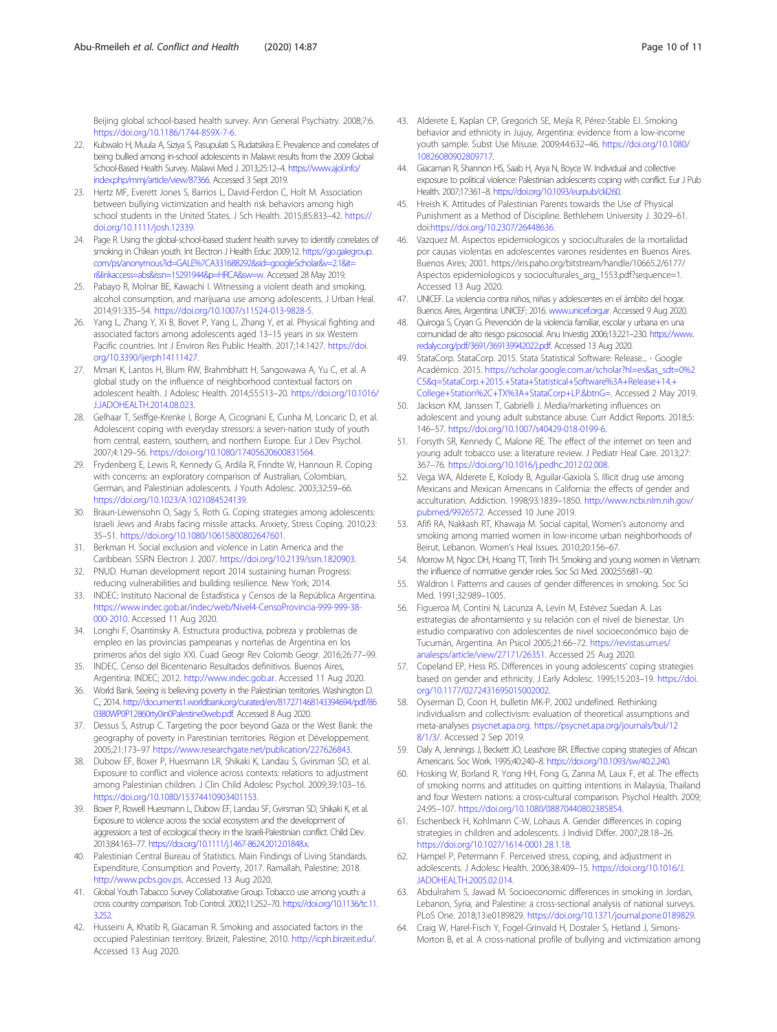<span id="page-9-0"></span>Beijing global school-based health survey. Ann General Psychiatry. 2008;7:6. [https://doi.org/10.1186/1744-859X-7-6.](https://doi.org/10.1186/1744-859X-7-6)

- 22. Kubwalo H, Muula A, Siziya S, Pasupulati S, Rudatsikira E. Prevalence and correlates of being bullied among in-school adolescents in Malawi: results from the 2009 Global School-Based Health Survey. Malawi Med J. 2013;25:12–4. [https://www.ajol.info/](https://www.ajol.info/index.php/mmj/article/view/87366) [index.php/mmj/article/view/87366](https://www.ajol.info/index.php/mmj/article/view/87366). Accessed 3 Sept 2019.
- 23. Hertz MF, Everett Jones S, Barrios L, David-Ferdon C, Holt M. Association between bullying victimization and health risk behaviors among high school students in the United States. J Sch Health. 2015;85:833–42. [https://](https://doi.org/10.1111/josh.12339) [doi.org/10.1111/josh.12339](https://doi.org/10.1111/josh.12339).
- 24. Page R. Using the global-school-based student health survey to identify correlates of smoking in Chilean youth. Int Electron J Health Educ 2009;12. [https://go.galegroup.](https://go.galegroup.com/ps/anonymous?id=GALE%7CA331688292&sid=googleScholar&v=2.1&it=r&linkaccess=abs&issn=15291944&p=HRCA&sw=w) [com/ps/anonymous?id=GALE%7CA331688292&sid=googleScholar&v=2.1&it=](https://go.galegroup.com/ps/anonymous?id=GALE%7CA331688292&sid=googleScholar&v=2.1&it=r&linkaccess=abs&issn=15291944&p=HRCA&sw=w) [r&linkaccess=abs&issn=15291944&p=HRCA&sw=w.](https://go.galegroup.com/ps/anonymous?id=GALE%7CA331688292&sid=googleScholar&v=2.1&it=r&linkaccess=abs&issn=15291944&p=HRCA&sw=w) Accessed 28 May 2019.
- 25. Pabayo R, Molnar BE, Kawachi I. Witnessing a violent death and smoking, alcohol consumption, and marijuana use among adolescents. J Urban Heal. 2014;91:335–54. [https://doi.org/10.1007/s11524-013-9828-5.](https://doi.org/10.1007/s11524-013-9828-5)
- 26. Yang L, Zhang Y, Xi B, Bovet P, Yang L, Zhang Y, et al. Physical fighting and associated factors among adolescents aged 13–15 years in six Western Pacific countries. Int J Environ Res Public Health. 2017;14:1427. [https://doi.](https://doi.org/10.3390/ijerph14111427) [org/10.3390/ijerph14111427](https://doi.org/10.3390/ijerph14111427).
- 27. Mmari K, Lantos H, Blum RW, Brahmbhatt H, Sangowawa A, Yu C, et al. A global study on the influence of neighborhood contextual factors on adolescent health. J Adolesc Health. 2014;55:S13–20. [https://doi.org/10.1016/](https://doi.org/10.1016/J.JADOHEALTH.2014.08.023) [J.JADOHEALTH.2014.08.023](https://doi.org/10.1016/J.JADOHEALTH.2014.08.023).
- 28. Gelhaar T, Seiffge-Krenke I, Borge A, Cicognani E, Cunha M, Loncaric D, et al. Adolescent coping with everyday stressors: a seven-nation study of youth from central, eastern, southern, and northern Europe. Eur J Dev Psychol. 2007;4:129–56. <https://doi.org/10.1080/17405620600831564>.
- 29. Frydenberg E, Lewis R, Kennedy G, Ardila R, Frindte W, Hannoun R. Coping with concerns: an exploratory comparison of Australian, Colombian, German, and Palestinian adolescents. J Youth Adolesc. 2003;32:59–66. [https://doi.org/10.1023/A:1021084524139.](https://doi.org/10.1023/A:1021084524139)
- 30. Braun-Lewensohn O, Sagy S, Roth G. Coping strategies among adolescents: Israeli Jews and Arabs facing missile attacks. Anxiety, Stress Coping. 2010;23: 35–51. <https://doi.org/10.1080/10615800802647601>.
- 31. Berkman H. Social exclusion and violence in Latin America and the Caribbean. SSRN Electron J. 2007. [https://doi.org/10.2139/ssrn.1820903.](https://doi.org/10.2139/ssrn.1820903)
- 32. PNUD. Human development report 2014 sustaining human Progress: reducing vulnerabilities and building resilience. New York; 2014.
- 33. INDEC: Instituto Nacional de Estadística y Censos de la República Argentina. [https://www.indec.gob.ar/indec/web/Nivel4-CensoProvincia-999-999-38-](https://www.indec.gob.ar/indec/web/Nivel4-CensoProvincia-999-999-38-000-2010) [000-2010.](https://www.indec.gob.ar/indec/web/Nivel4-CensoProvincia-999-999-38-000-2010) Accessed 11 Aug 2020.
- 34. Longhi F, Osantinsky A. Estructura productiva, pobreza y problemas de empleo en las provincias pampeanas y norteñas de Argentina en los primeros años del siglo XXI. Cuad Geogr Rev Colomb Geogr. 2016;26:77–99.
- INDEC. Censo del Bicentenario Resultados definitivos. Buenos Aires, Argentina: INDEC; 2012. <http://www.indec.gob.ar>. Accessed 11 Aug 2020.
- 36. World Bank. Seeing is believing poverty in the Palestinian territories. Washington D. C.; 2014. [http://documents1.worldbank.org/curated/en/817271468143394694/pdf/86](http://documents1.worldbank.org/curated/en/817271468143394694/pdf/860380WP0P12860rty0in0Palestine0web.pdf) [0380WP0P12860rty0in0Palestine0web.pdf.](http://documents1.worldbank.org/curated/en/817271468143394694/pdf/860380WP0P12860rty0in0Palestine0web.pdf) Accessed 8 Aug 2020.
- 37. Dessus S, Astrup C. Targeting the poor beyond Gaza or the West Bank: the geography of poverty in Parestinian territories. Région et Développement. 2005;21:173–97 [https://www.researchgate.net/publication/227626843.](https://www.researchgate.net/publication/227626843)
- 38. Dubow EF, Boxer P, Huesmann LR, Shikaki K, Landau S, Gvirsman SD, et al. Exposure to conflict and violence across contexts: relations to adjustment among Palestinian children. J Clin Child Adolesc Psychol. 2009;39:103–16. [https://doi.org/10.1080/15374410903401153.](https://doi.org/10.1080/15374410903401153)
- 39. Boxer P, Rowell Huesmann L, Dubow EF, Landau SF, Gvirsman SD, Shikaki K, et al. Exposure to violence across the social ecosystem and the development of aggression: a test of ecological theory in the Israeli-Palestinian conflict. Child Dev. 2013;84:163–77. [https://doi.org/10.1111/j.1467-8624.2012.01848.x.](https://doi.org/10.1111/j.1467-8624.2012.01848.x)
- 40. Palestinian Central Bureau of Statistics. Main Findings of Living Standards. Expenditure, Consumption and Poverty, 2017. Ramallah, Palestine; 2018. <http://www.pcbs.gov.ps>. Accessed 13 Aug 2020.
- 41. Global Youth Tabacco Survey Collaborative Group. Tobacco use among youth: a cross country comparison. Tob Control. 2002;11:252–70. [https://doi.org/10.1136/tc.11.](https://doi.org/10.1136/tc.11.3.252) [3.252](https://doi.org/10.1136/tc.11.3.252).
- 42. Husseini A, Khatib R, Giacaman R. Smoking and associated factors in the occupied Palestinian territory. Brizeit, Palestine; 2010. <http://icph.birzeit.edu/>. Accessed 13 Aug 2020.
- 43. Alderete E, Kaplan CP, Gregorich SE, Mejía R, Pérez-Stable EJ. Smoking behavior and ethnicity in Jujuy, Argentina: evidence from a low-income youth sample. Subst Use Misuse. 2009;44:632–46. [https://doi.org/10.1080/](https://doi.org/10.1080/10826080902809717) [10826080902809717.](https://doi.org/10.1080/10826080902809717)
- 44. Giacaman R, Shannon HS, Saab H, Arya N, Boyce W. Individual and collective exposure to political violence: Palestinian adolescents coping with conflict. Eur J Pub Health. 2007;17:361–8. <https://doi.org/10.1093/eurpub/ckl260>.
- 45. Hreish K. Attitudes of Palestinian Parents towards the Use of Physical Punishment as a Method of Discipline. Bethlehem University J. 30:29–61. doi[:https://doi.org/10.2307/26448636.](https://doi.org/10.2307/26448636)
- 46. Vazquez M. Aspectos epidemiologicos y socioculturales de la mortalidad por causas violentas en adolescentes varones residentes en Buenos Aires. Buenos Aires; 2001. https://iris.paho.org/bitstream/handle/10665.2/6177/ Aspectos epidemiologicos y socioculturales\_arg\_1553.pdf?sequence=1. Accessed 13 Aug 2020.
- 47. UNICEF. La violencia contra niños, niñas y adolescentes en el ámbito del hogar. Buenos Aires, Argentina: UNICEF: 2016. [www.unicef.org.ar](http://www.unicef.org.ar). Accessed 9 Aug 2020.
- 48. Quiroga S, Cryan G. Prevención de la violencia familiar, escolar y urbana en una comunidad de alto riesgo psicosocial. Anu Investig 2006;13:221–230. [https://www.](https://www.redalyc.org/pdf/3691/369139942022.pdf) [redalyc.org/pdf/3691/369139942022.pdf](https://www.redalyc.org/pdf/3691/369139942022.pdf). Accessed 13 Aug 2020.
- 49. StataCorp. StataCorp. 2015. Stata Statistical Software: Release... Google Académico. 2015. [https://scholar.google.com.ar/scholar?hl=es&as\\_sdt=0%2](https://scholar.google.com.ar/scholar?hl=es&as_sdt=0%2C5&q=StataCorp.+2015.+Stata+Statistical+Software%3A+Release+14.+College+Station%2C+TX%3A+StataCorp+LP.&btnG=) [C5&q=StataCorp.+2015.+Stata+Statistical+Software%3A+Release+14.+](https://scholar.google.com.ar/scholar?hl=es&as_sdt=0%2C5&q=StataCorp.+2015.+Stata+Statistical+Software%3A+Release+14.+College+Station%2C+TX%3A+StataCorp+LP.&btnG=) [College+Station%2C+TX%3A+StataCorp+LP.&btnG=](https://scholar.google.com.ar/scholar?hl=es&as_sdt=0%2C5&q=StataCorp.+2015.+Stata+Statistical+Software%3A+Release+14.+College+Station%2C+TX%3A+StataCorp+LP.&btnG=). Accessed 2 May 2019.
- 50. Jackson KM, Janssen T, Gabrielli J. Media/marketing influences on adolescent and young adult substance abuse. Curr Addict Reports. 2018;5: 146–57. <https://doi.org/10.1007/s40429-018-0199-6>.
- 51. Forsyth SR, Kennedy C, Malone RE. The effect of the internet on teen and young adult tobacco use: a literature review. J Pediatr Heal Care. 2013;27: 367–76. [https://doi.org/10.1016/j.pedhc.2012.02.008.](https://doi.org/10.1016/j.pedhc.2012.02.008)
- 52. Vega WA, Alderete E, Kolody B, Aguilar-Gaxiola S. Illicit drug use among Mexicans and Mexican Americans in California: the effects of gender and acculturation. Addiction. 1998;93:1839–1850. [http://www.ncbi.nlm.nih.gov/](http://www.ncbi.nlm.nih.gov/pubmed/9926572) [pubmed/9926572.](http://www.ncbi.nlm.nih.gov/pubmed/9926572) Accessed 10 June 2019.
- 53. Afifi RA, Nakkash RT, Khawaja M. Social capital, Women's autonomy and smoking among married women in low-income urban neighborhoods of Beirut, Lebanon. Women's Heal Issues. 2010;20:156–67.
- 54. Morrow M, Ngoc DH, Hoang TT, Trinh TH. Smoking and young women in Vietnam: the influence of normative gender roles. Soc Sci Med. 2002;55:681–90.
- 55. Waldron I. Patterns and causes of gender differences in smoking. Soc Sci Med. 1991;32:989–1005.
- 56. Figueroa M, Contini N, Lacunza A, Levín M, Estévez Suedan A. Las estrategias de afrontamiento y su relación con el nivel de bienestar. Un estudio comparativo con adolescentes de nivel socioeconómico bajo de Tucumán, Argentina. An Psicol 2005;21:66–72. [https://revistas.um.es/](https://revistas.um.es/analesps/article/view/27171/26351) [analesps/article/view/27171/26351.](https://revistas.um.es/analesps/article/view/27171/26351) Accessed 25 Aug 2020.
- 57. Copeland EP, Hess RS. Differences in young adolescents' coping strategies based on gender and ethnicity. J Early Adolesc. 1995;15:203–19. [https://doi.](https://doi.org/10.1177/0272431695015002002) [org/10.1177/0272431695015002002.](https://doi.org/10.1177/0272431695015002002)
- 58. Oyserman D, Coon H, bulletin MK-P, 2002 undefined. Rethinking individualism and collectivism: evaluation of theoretical assumptions and meta-analyses [psycnet.apa.org](http://psycnet.apa.org). [https://psycnet.apa.org/journals/bul/12](https://psycnet.apa.org/journals/bul/128/1/3/) [8/1/3/](https://psycnet.apa.org/journals/bul/128/1/3/). Accessed 2 Sep 2019.
- 59. Daly A, Jennings J, Beckett JO, Leashore BR. Effective coping strategies of African Americans. Soc Work. 1995;40:240–8. [https://doi.org/10.1093/sw/40.2.240.](https://doi.org/10.1093/sw/40.2.240)
- 60. Hosking W, Borland R, Yong HH, Fong G, Zanna M, Laux F, et al. The effects of smoking norms and attitudes on quitting intentions in Malaysia, Thailand and four Western nations: a cross-cultural comparison. Psychol Health. 2009; 24:95–107. [https://doi.org/10.1080/08870440802385854.](https://doi.org/10.1080/08870440802385854)
- 61. Eschenbeck H, Kohlmann C-W, Lohaus A. Gender differences in coping strategies in children and adolescents. J Individ Differ. 2007;28:18–26. [https://doi.org/10.1027/1614-0001.28.1.18.](https://doi.org/10.1027/1614-0001.28.1.18)
- 62. Hampel P, Petermann F. Perceived stress, coping, and adjustment in adolescents. J Adolesc Health. 2006;38:409–15. [https://doi.org/10.1016/J.](https://doi.org/10.1016/J.JADOHEALTH.2005.02.014) [JADOHEALTH.2005.02.014.](https://doi.org/10.1016/J.JADOHEALTH.2005.02.014)
- 63. Abdulrahim S, Jawad M. Socioeconomic differences in smoking in Jordan, Lebanon, Syria, and Palestine: a cross-sectional analysis of national surveys. PLoS One. 2018;13:e0189829. <https://doi.org/10.1371/journal.pone.0189829>.
- Craig W, Harel-Fisch Y, Fogel-Grinvald H, Dostaler S, Hetland J, Simons-Morton B, et al. A cross-national profile of bullying and victimization among